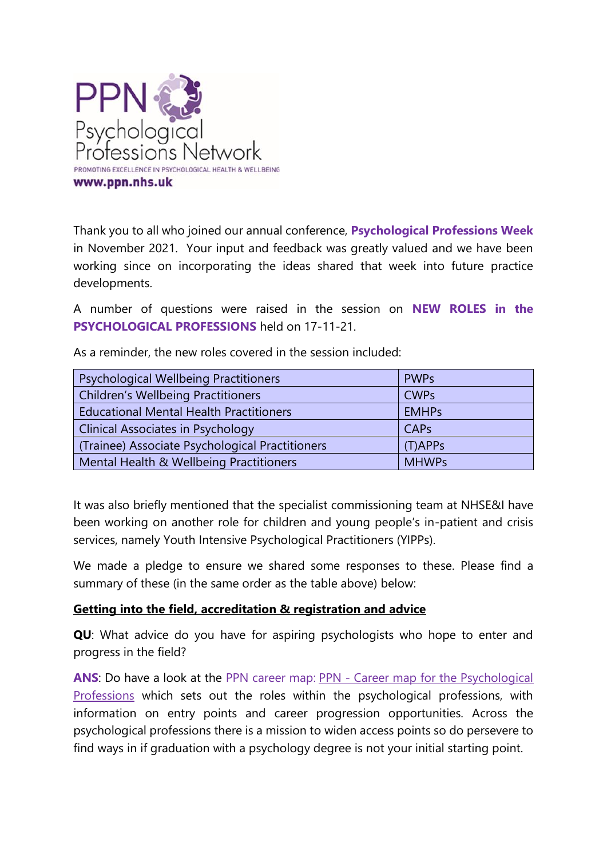

Thank you to all who joined our annual conference, **Psychological Professions Week** in November 2021. Your input and feedback was greatly valued and we have been working since on incorporating the ideas shared that week into future practice developments.

A number of questions were raised in the session on **NEW ROLES in the PSYCHOLOGICAL PROFESSIONS** held on 17-11-21.

| <b>Psychological Wellbeing Practitioners</b>    | <b>PWPs</b>  |
|-------------------------------------------------|--------------|
| <b>Children's Wellbeing Practitioners</b>       | <b>CWPs</b>  |
| <b>Educational Mental Health Practitioners</b>  | <b>EMHPs</b> |
| <b>Clinical Associates in Psychology</b>        | CAPs         |
| (Trainee) Associate Psychological Practitioners | $(T)$ APPs   |
| Mental Health & Wellbeing Practitioners         | <b>MHWPs</b> |

As a reminder, the new roles covered in the session included:

It was also briefly mentioned that the specialist commissioning team at NHSE&I have been working on another role for children and young people's in-patient and crisis services, namely Youth Intensive Psychological Practitioners (YIPPs).

We made a pledge to ensure we shared some responses to these. Please find a summary of these (in the same order as the table above) below:

# **Getting into the field, accreditation & registration and advice**

**QU**: What advice do you have for aspiring psychologists who hope to enter and progress in the field?

**ANS**: Do have a look at the PPN career map: PPN - [Career map for the Psychological](https://www.ppn.nhs.uk/resources/careers-map)  [Professions](https://www.ppn.nhs.uk/resources/careers-map) which sets out the roles within the psychological professions, with information on entry points and career progression opportunities. Across the psychological professions there is a mission to widen access points so do persevere to find ways in if graduation with a psychology degree is not your initial starting point.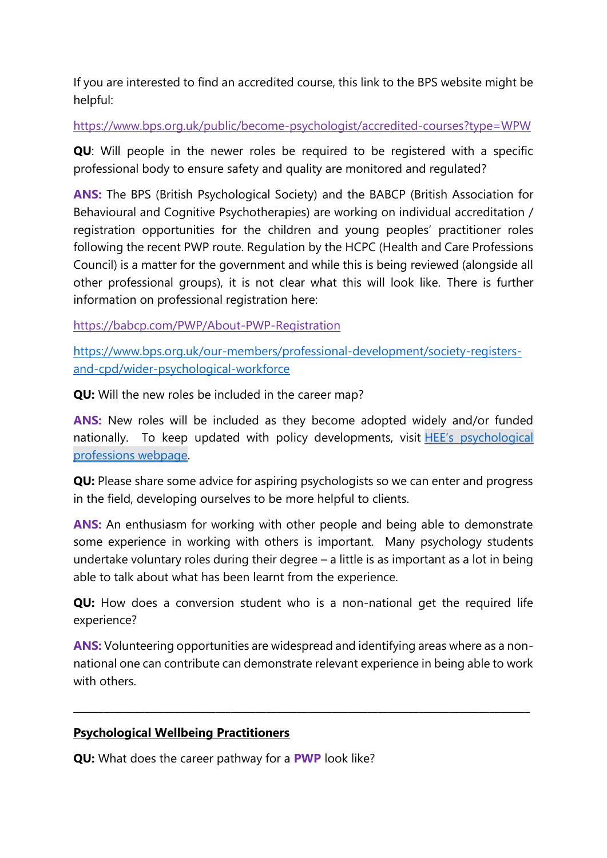If you are interested to find an accredited course, this link to the BPS website might be helpful:

<https://www.bps.org.uk/public/become-psychologist/accredited-courses?type=WPW>

**QU**: Will people in the newer roles be required to be registered with a specific professional body to ensure safety and quality are monitored and regulated?

**ANS:** The BPS (British Psychological Society) and the BABCP (British Association for Behavioural and Cognitive Psychotherapies) are working on individual accreditation / registration opportunities for the children and young peoples' practitioner roles following the recent PWP route. Regulation by the HCPC (Health and Care Professions Council) is a matter for the government and while this is being reviewed (alongside all other professional groups), it is not clear what this will look like. There is further information on professional registration here:

<https://babcp.com/PWP/About-PWP-Registration>

[https://www.bps.org.uk/our-members/professional-development/society-registers](https://www.bps.org.uk/our-members/professional-development/society-registers-and-cpd/wider-psychological-workforce)[and-cpd/wider-psychological-workforce](https://www.bps.org.uk/our-members/professional-development/society-registers-and-cpd/wider-psychological-workforce)

**QU:** Will the new roles be included in the career map?

**ANS:** New roles will be included as they become adopted widely and/or funded nationally. To keep updated with policy developments, visit **HEE's** psychological [professions webpage.](https://www.hee.nhs.uk/our-work/mental-health/psychological-professions)

**QU:** Please share some advice for aspiring psychologists so we can enter and progress in the field, developing ourselves to be more helpful to clients.

**ANS:** An enthusiasm for working with other people and being able to demonstrate some experience in working with others is important. Many psychology students undertake voluntary roles during their degree – a little is as important as a lot in being able to talk about what has been learnt from the experience.

**QU:** How does a conversion student who is a non-national get the required life experience?

**ANS:** Volunteering opportunities are widespread and identifying areas where as a nonnational one can contribute can demonstrate relevant experience in being able to work with others.

**\_\_\_\_\_\_\_\_\_\_\_\_\_\_\_\_\_\_\_\_\_\_\_\_\_\_\_\_\_\_\_\_\_\_\_\_\_\_\_\_\_\_\_\_\_\_\_\_\_\_\_\_\_\_\_\_\_\_\_\_\_\_\_\_\_\_\_\_\_\_\_\_\_\_\_\_\_\_\_\_\_\_\_\_\_\_\_\_\_\_**

# **Psychological Wellbeing Practitioners**

**QU:** What does the career pathway for a **PWP** look like?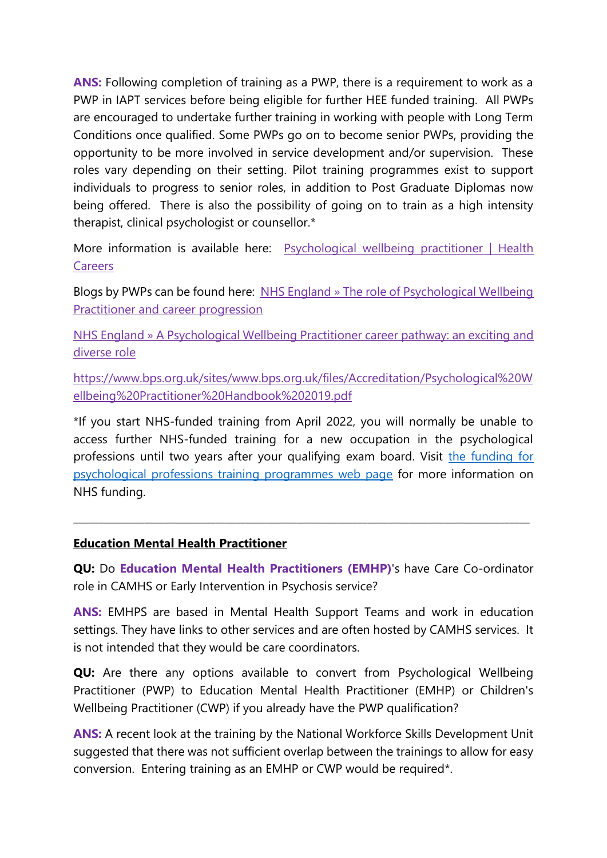**ANS:** Following completion of training as a PWP, there is a requirement to work as a PWP in IAPT services before being eligible for further HEE funded training. All PWPs are encouraged to undertake further training in working with people with Long Term Conditions once qualified. Some PWPs go on to become senior PWPs, providing the opportunity to be more involved in service development and/or supervision. These roles vary depending on their setting. Pilot training programmes exist to support individuals to progress to senior roles, in addition to Post Graduate Diplomas now being offered. There is also the possibility of going on to train as a high intensity therapist, clinical psychologist or counsellor.\*

More information is available here: Psychological wellbeing practitioner | Health **[Careers](https://www.healthcareers.nhs.uk/explore-roles/psychological-therapies/roles/psychological-wellbeing-practitioner)** 

Blogs by PWPs can be found here: [NHS England » The role of Psychological Wellbeing](https://www.england.nhs.uk/blog/the-role-of-psychological-wellbeing-practitioner-and-career-progression/)  [Practitioner and career progression](https://www.england.nhs.uk/blog/the-role-of-psychological-wellbeing-practitioner-and-career-progression/)

[NHS England » A Psychological Wellbeing Practitioner career pathway: an exciting and](https://www.england.nhs.uk/blog/a-psychological-wellbeing-practitioner-career-pathway-an-exciting-and-diverse-role/)  [diverse role](https://www.england.nhs.uk/blog/a-psychological-wellbeing-practitioner-career-pathway-an-exciting-and-diverse-role/)

[https://www.bps.org.uk/sites/www.bps.org.uk/files/Accreditation/Psychological%20W](https://www.bps.org.uk/sites/www.bps.org.uk/files/Accreditation/Psychological%20Wellbeing%20Practitioner%20Handbook%202019.pdf) [ellbeing%20Practitioner%20Handbook%202019.pdf](https://www.bps.org.uk/sites/www.bps.org.uk/files/Accreditation/Psychological%20Wellbeing%20Practitioner%20Handbook%202019.pdf)

\*If you start NHS-funded training from April 2022, you will normally be unable to access further NHS-funded training for a new occupation in the psychological professions until two years after your qualifying exam board. Visit [the funding for](https://www.hee.nhs.uk/our-work/mental-health/psychological-professions/funding-psychological-professions-training-programmes)  [psychological professions training programmes web page](https://www.hee.nhs.uk/our-work/mental-health/psychological-professions/funding-psychological-professions-training-programmes) for more information on NHS funding.

## **Education Mental Health Practitioner**

**QU:** Do **Education Mental Health Practitioners (EMHP)**'s have Care Co-ordinator role in CAMHS or Early Intervention in Psychosis service?

\_\_\_\_\_\_\_\_\_\_\_\_\_\_\_\_\_\_\_\_\_\_\_\_\_\_\_\_\_\_\_\_\_\_\_\_\_\_\_\_\_\_\_\_\_\_\_\_\_\_\_\_\_\_\_\_\_\_\_\_\_\_\_\_\_\_\_\_\_\_\_\_\_\_\_\_\_\_\_\_\_\_\_\_\_\_\_\_\_\_

**ANS:** EMHPS are based in Mental Health Support Teams and work in education settings. They have links to other services and are often hosted by CAMHS services. It is not intended that they would be care coordinators.

**QU:** Are there any options available to convert from Psychological Wellbeing Practitioner (PWP) to Education Mental Health Practitioner (EMHP) or Children's Wellbeing Practitioner (CWP) if you already have the PWP qualification?

**ANS:** A recent look at the training by the National Workforce Skills Development Unit suggested that there was not sufficient overlap between the trainings to allow for easy conversion. Entering training as an EMHP or CWP would be required\*.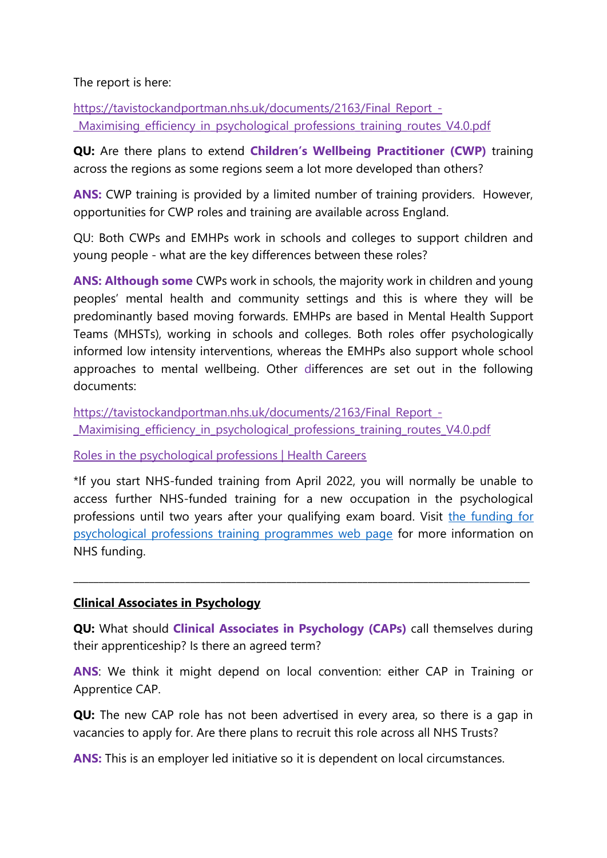The report is here:

[https://tavistockandportman.nhs.uk/documents/2163/Final\\_Report\\_-](https://tavistockandportman.nhs.uk/documents/2163/Final_Report_-_Maximising_efficiency_in_psychological_professions_training_routes_V4.0.pdf) [\\_Maximising\\_efficiency\\_in\\_psychological\\_professions\\_training\\_routes\\_V4.0.pdf](https://tavistockandportman.nhs.uk/documents/2163/Final_Report_-_Maximising_efficiency_in_psychological_professions_training_routes_V4.0.pdf)

**QU:** Are there plans to extend **Children's Wellbeing Practitioner (CWP)** training across the regions as some regions seem a lot more developed than others?

**ANS:** CWP training is provided by a limited number of training providers. However, opportunities for CWP roles and training are available across England.

QU: Both CWPs and EMHPs work in schools and colleges to support children and young people - what are the key differences between these roles?

**ANS: Although some** CWPs work in schools, the majority work in children and young peoples' mental health and community settings and this is where they will be predominantly based moving forwards. EMHPs are based in Mental Health Support Teams (MHSTs), working in schools and colleges. Both roles offer psychologically informed low intensity interventions, whereas the EMHPs also support whole school approaches to mental wellbeing. Other differences are set out in the following documents:

[https://tavistockandportman.nhs.uk/documents/2163/Final\\_Report\\_-](https://tavistockandportman.nhs.uk/documents/2163/Final_Report_-_Maximising_efficiency_in_psychological_professions_training_routes_V4.0.pdf) [\\_Maximising\\_efficiency\\_in\\_psychological\\_professions\\_training\\_routes\\_V4.0.pdf](https://tavistockandportman.nhs.uk/documents/2163/Final_Report_-_Maximising_efficiency_in_psychological_professions_training_routes_V4.0.pdf)

[Roles in the psychological professions | Health Careers](https://www.healthcareers.nhs.uk/explore-roles/psychological-therapies/roles-psychological-therapies)

\*If you start NHS-funded training from April 2022, you will normally be unable to access further NHS-funded training for a new occupation in the psychological professions until two years after your qualifying exam board. Visit [the funding for](https://www.hee.nhs.uk/our-work/mental-health/psychological-professions/funding-psychological-professions-training-programmes)  [psychological professions training programmes web page](https://www.hee.nhs.uk/our-work/mental-health/psychological-professions/funding-psychological-professions-training-programmes) for more information on NHS funding.

## **Clinical Associates in Psychology**

**QU:** What should **Clinical Associates in Psychology (CAPs)** call themselves during their apprenticeship? Is there an agreed term?

**\_\_\_\_\_\_\_\_\_\_\_\_\_\_\_\_\_\_\_\_\_\_\_\_\_\_\_\_\_\_\_\_\_\_\_\_\_\_\_\_\_\_\_\_\_\_\_\_\_\_\_\_\_\_\_\_\_\_\_\_\_\_\_\_\_\_\_\_\_\_\_\_\_\_\_\_\_\_\_\_\_\_\_\_\_\_\_\_\_\_**

**ANS**: We think it might depend on local convention: either CAP in Training or Apprentice CAP.

**QU:** The new CAP role has not been advertised in every area, so there is a gap in vacancies to apply for. Are there plans to recruit this role across all NHS Trusts?

**ANS:** This is an employer led initiative so it is dependent on local circumstances.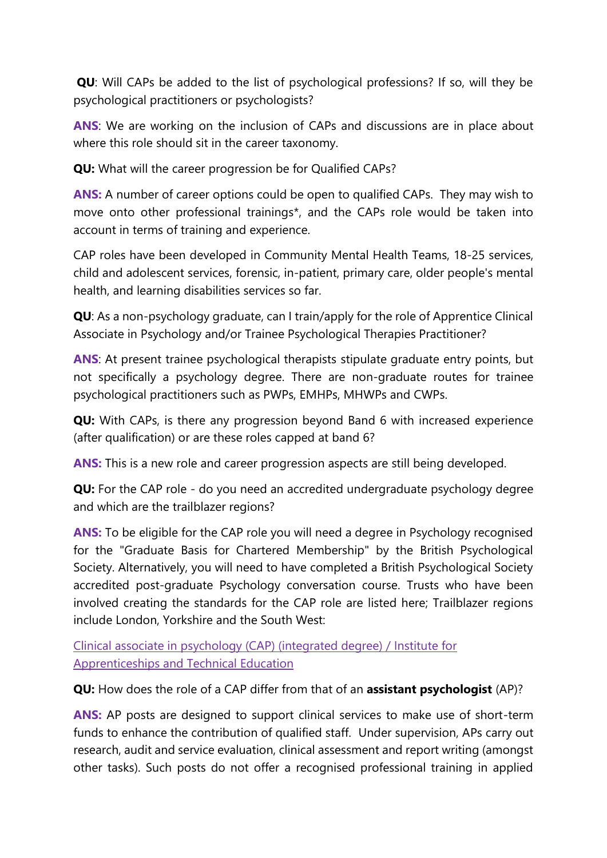**QU**: Will CAPs be added to the list of psychological professions? If so, will they be psychological practitioners or psychologists?

**ANS**: We are working on the inclusion of CAPs and discussions are in place about where this role should sit in the career taxonomy.

**QU:** What will the career progression be for Qualified CAPs?

**ANS:** A number of career options could be open to qualified CAPs. They may wish to move onto other professional trainings\*, and the CAPs role would be taken into account in terms of training and experience.

CAP roles have been developed in Community Mental Health Teams, 18-25 services, child and adolescent services, forensic, in-patient, primary care, older people's mental health, and learning disabilities services so far.

**QU**: As a non-psychology graduate, can I train/apply for the role of Apprentice Clinical Associate in Psychology and/or Trainee Psychological Therapies Practitioner?

**ANS:** At present trainee psychological therapists stipulate graduate entry points, but not specifically a psychology degree. There are non-graduate routes for trainee psychological practitioners such as PWPs, EMHPs, MHWPs and CWPs.

**QU:** With CAPs, is there any progression beyond Band 6 with increased experience (after qualification) or are these roles capped at band 6?

**ANS:** This is a new role and career progression aspects are still being developed.

**QU:** For the CAP role - do you need an accredited undergraduate psychology degree and which are the trailblazer regions?

**ANS:** To be eligible for the CAP role you will need a degree in Psychology recognised for the "Graduate Basis for Chartered Membership" by the British Psychological Society. Alternatively, you will need to have completed a British Psychological Society accredited post-graduate Psychology conversation course. Trusts who have been involved creating the standards for the CAP role are listed here; Trailblazer regions include London, Yorkshire and the South West:

[Clinical associate in psychology \(CAP\) \(integrated degree\) / Institute for](https://www.instituteforapprenticeships.org/apprenticeship-standards/clinical-associate-in-psychology-cap-integrated-degree-v1-0)  [Apprenticeships and Technical Education](https://www.instituteforapprenticeships.org/apprenticeship-standards/clinical-associate-in-psychology-cap-integrated-degree-v1-0)

**QU:** How does the role of a CAP differ from that of an **assistant psychologist** (AP)?

**ANS:** AP posts are designed to support clinical services to make use of short-term funds to enhance the contribution of qualified staff. Under supervision, APs carry out research, audit and service evaluation, clinical assessment and report writing (amongst other tasks). Such posts do not offer a recognised professional training in applied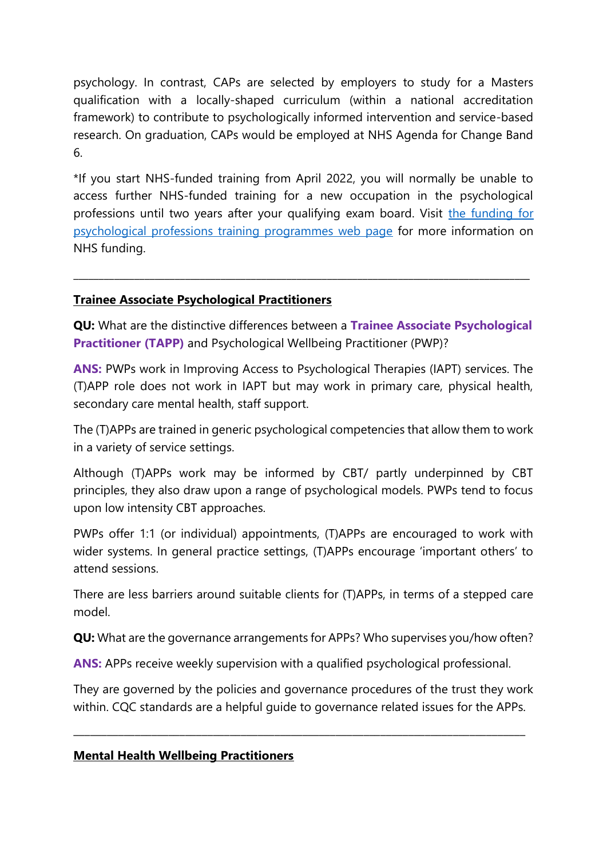psychology. In contrast, CAPs are selected by employers to study for a Masters qualification with a locally-shaped curriculum (within a national accreditation framework) to contribute to psychologically informed intervention and service-based research. On graduation, CAPs would be employed at NHS Agenda for Change Band 6.

\*If you start NHS-funded training from April 2022, you will normally be unable to access further NHS-funded training for a new occupation in the psychological professions until two years after your qualifying exam board. Visit the funding for [psychological professions training programmes web page](https://www.hee.nhs.uk/our-work/mental-health/psychological-professions/funding-psychological-professions-training-programmes) for more information on NHS funding.

## **Trainee Associate Psychological Practitioners**

**QU:** What are the distinctive differences between a **Trainee Associate Psychological Practitioner (TAPP)** and Psychological Wellbeing Practitioner (PWP)?

**\_\_\_\_\_\_\_\_\_\_\_\_\_\_\_\_\_\_\_\_\_\_\_\_\_\_\_\_\_\_\_\_\_\_\_\_\_\_\_\_\_\_\_\_\_\_\_\_\_\_\_\_\_\_\_\_\_\_\_\_\_\_\_\_\_\_\_\_\_\_\_\_\_\_\_\_\_\_\_\_\_\_\_\_\_\_\_\_\_\_**

**ANS:** PWPs work in Improving Access to Psychological Therapies (IAPT) services. The (T)APP role does not work in IAPT but may work in primary care, physical health, secondary care mental health, staff support.

The (T)APPs are trained in generic psychological competencies that allow them to work in a variety of service settings.

Although (T)APPs work may be informed by CBT/ partly underpinned by CBT principles, they also draw upon a range of psychological models. PWPs tend to focus upon low intensity CBT approaches.

PWPs offer 1:1 (or individual) appointments, (T)APPs are encouraged to work with wider systems. In general practice settings, (T)APPs encourage 'important others' to attend sessions.

There are less barriers around suitable clients for (T)APPs, in terms of a stepped care model.

**QU:** What are the governance arrangements for APPs? Who supervises you/how often?

**ANS:** APPs receive weekly supervision with a qualified psychological professional.

They are governed by the policies and governance procedures of the trust they work within. CQC standards are a helpful guide to governance related issues for the APPs.

\_\_\_\_\_\_\_\_\_\_\_\_\_\_\_\_\_\_\_\_\_\_\_\_\_\_\_\_\_\_\_\_\_\_\_\_\_\_\_\_\_\_\_\_\_\_\_\_\_\_\_\_\_\_\_\_\_\_\_\_\_\_\_\_\_\_\_\_\_\_\_\_\_\_\_\_\_\_\_\_\_

# **Mental Health Wellbeing Practitioners**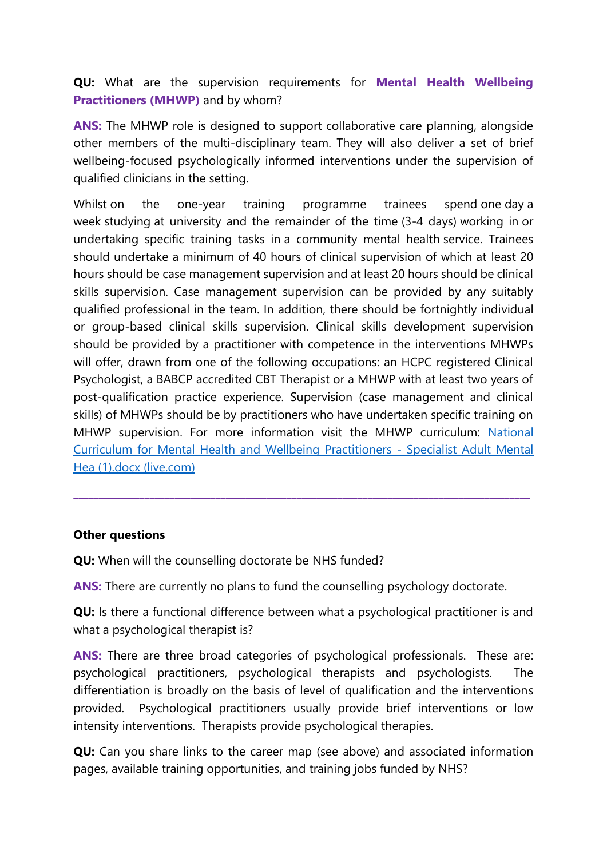**QU:** What are the supervision requirements for **Mental Health Wellbeing Practitioners (MHWP)** and by whom?

**ANS:** The MHWP role is designed to support collaborative care planning, alongside other members of the multi-disciplinary team. They will also deliver a set of brief wellbeing-focused psychologically informed interventions under the supervision of qualified clinicians in the setting.

Whilst on the one-year training programme trainees spend one day a week studying at university and the remainder of the time (3-4 days) working in or undertaking specific training tasks in a community mental health service. Trainees should undertake a minimum of 40 hours of clinical supervision of which at least 20 hours should be case management supervision and at least 20 hours should be clinical skills supervision. Case management supervision can be provided by any suitably qualified professional in the team. In addition, there should be fortnightly individual or group-based clinical skills supervision. Clinical skills development supervision should be provided by a practitioner with competence in the interventions MHWPs will offer, drawn from one of the following occupations: an HCPC registered Clinical Psychologist, a BABCP accredited CBT Therapist or a MHWP with at least two years of post-qualification practice experience. Supervision (case management and clinical skills) of MHWPs should be by practitioners who have undertaken specific training on MHWP supervision. For more information visit the MHWP curriculum: [National](https://view.officeapps.live.com/op/view.aspx?src=https%3A%2F%2Fwww.hee.nhs.uk%2Fsites%2Fdefault%2Ffiles%2Fdocuments%2FNational%2520Curriculum%2520for%2520Mental%2520Health%2520and%2520Wellbeing%2520Practitioners%2520-%2520Specialist%2520Adult%2520Mental%2520Hea%2520%25281%2529.docx&wdOrigin=BROWSELINK)  [Curriculum for Mental Health and Wellbeing Practitioners -](https://view.officeapps.live.com/op/view.aspx?src=https%3A%2F%2Fwww.hee.nhs.uk%2Fsites%2Fdefault%2Ffiles%2Fdocuments%2FNational%2520Curriculum%2520for%2520Mental%2520Health%2520and%2520Wellbeing%2520Practitioners%2520-%2520Specialist%2520Adult%2520Mental%2520Hea%2520%25281%2529.docx&wdOrigin=BROWSELINK) Specialist Adult Mental [Hea \(1\).docx \(live.com\)](https://view.officeapps.live.com/op/view.aspx?src=https%3A%2F%2Fwww.hee.nhs.uk%2Fsites%2Fdefault%2Ffiles%2Fdocuments%2FNational%2520Curriculum%2520for%2520Mental%2520Health%2520and%2520Wellbeing%2520Practitioners%2520-%2520Specialist%2520Adult%2520Mental%2520Hea%2520%25281%2529.docx&wdOrigin=BROWSELINK)

# **Other questions**

**QU:** When will the counselling doctorate be NHS funded?

**ANS:** There are currently no plans to fund the counselling psychology doctorate.

**QU:** Is there a functional difference between what a psychological practitioner is and what a psychological therapist is?

**\_\_\_\_\_\_\_\_\_\_\_\_\_\_\_\_\_\_\_\_\_\_\_\_\_\_\_\_\_\_\_\_\_\_\_\_\_\_\_\_\_\_\_\_\_\_\_\_\_\_\_\_\_\_\_\_\_\_\_\_\_\_\_\_\_\_\_\_\_\_\_\_\_\_\_\_\_\_\_\_\_\_\_\_\_\_\_\_\_\_**

**ANS:** There are three broad categories of psychological professionals. These are: psychological practitioners, psychological therapists and psychologists. The differentiation is broadly on the basis of level of qualification and the interventions provided. Psychological practitioners usually provide brief interventions or low intensity interventions. Therapists provide psychological therapies.

**QU:** Can you share links to the career map (see above) and associated information pages, available training opportunities, and training jobs funded by NHS?